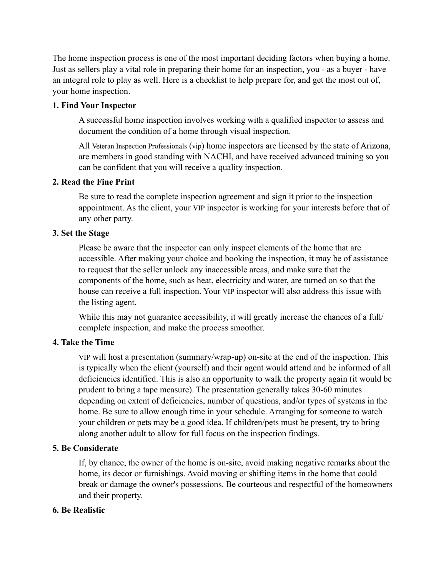The home inspection process is one of the most important deciding factors when buying a home. Just as sellers play a vital role in preparing their home for an inspection, you - as a buyer - have an integral role to play as well. Here is a checklist to help prepare for, and get the most out of, your home inspection.

## **1. Find Your Inspector**

A successful home inspection involves working with a qualified inspector to assess and document the condition of a home through visual inspection.

All Veteran Inspection Professionals (vip) home inspectors are licensed by the state of Arizona, are members in good standing with NACHI, and have received advanced training so you can be confident that you will receive a quality inspection.

## **2. Read the Fine Print**

Be sure to read the complete inspection agreement and sign it prior to the inspection appointment. As the client, your VIP inspector is working for your interests before that of any other party.

## **3. Set the Stage**

Please be aware that the inspector can only inspect elements of the home that are accessible. After making your choice and booking the inspection, it may be of assistance to request that the seller unlock any inaccessible areas, and make sure that the components of the home, such as heat, electricity and water, are turned on so that the house can receive a full inspection. Your VIP inspector will also address this issue with the listing agent.

While this may not guarantee accessibility, it will greatly increase the chances of a full complete inspection, and make the process smoother.

# **4. Take the Time**

VIP will host a presentation (summary/wrap-up) on-site at the end of the inspection. This is typically when the client (yourself) and their agent would attend and be informed of all deficiencies identified. This is also an opportunity to walk the property again (it would be prudent to bring a tape measure). The presentation generally takes 30-60 minutes depending on extent of deficiencies, number of questions, and/or types of systems in the home. Be sure to allow enough time in your schedule. Arranging for someone to watch your children or pets may be a good idea. If children/pets must be present, try to bring along another adult to allow for full focus on the inspection findings.

# **5. Be Considerate**

If, by chance, the owner of the home is on-site, avoid making negative remarks about the home, its decor or furnishings. Avoid moving or shifting items in the home that could break or damage the owner's possessions. Be courteous and respectful of the homeowners and their property.

#### **6. Be Realistic**